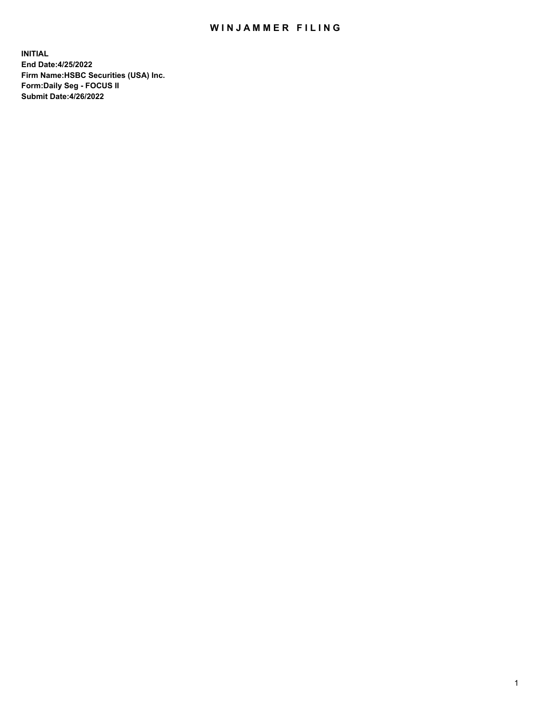## WIN JAMMER FILING

**INITIAL End Date:4/25/2022 Firm Name:HSBC Securities (USA) Inc. Form:Daily Seg - FOCUS II Submit Date:4/26/2022**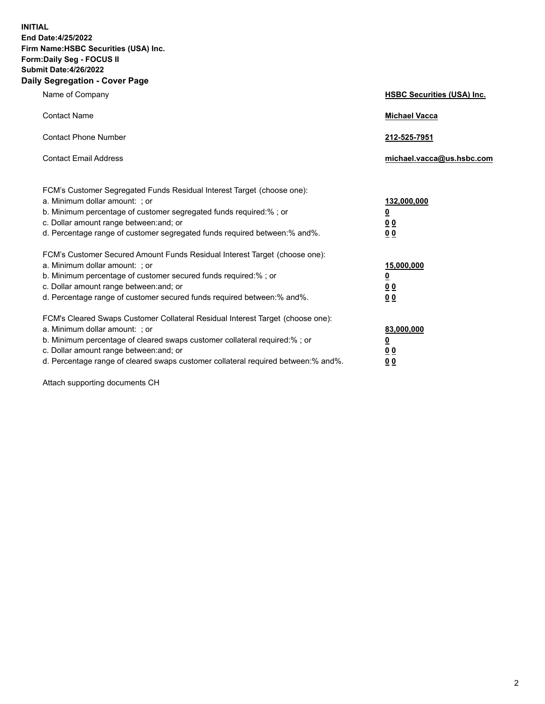**INITIAL End Date:4/25/2022 Firm Name:HSBC Securities (USA) Inc. Form:Daily Seg - FOCUS II Submit Date:4/26/2022 Daily Segregation - Cover Page**

| Name of Company                                                                                                                                                                                                                                                                                                                | <b>HSBC Securities (USA) Inc.</b>                          |
|--------------------------------------------------------------------------------------------------------------------------------------------------------------------------------------------------------------------------------------------------------------------------------------------------------------------------------|------------------------------------------------------------|
| <b>Contact Name</b>                                                                                                                                                                                                                                                                                                            | <b>Michael Vacca</b>                                       |
| <b>Contact Phone Number</b>                                                                                                                                                                                                                                                                                                    | 212-525-7951                                               |
| <b>Contact Email Address</b>                                                                                                                                                                                                                                                                                                   | michael.vacca@us.hsbc.com                                  |
| FCM's Customer Segregated Funds Residual Interest Target (choose one):<br>a. Minimum dollar amount: ; or<br>b. Minimum percentage of customer segregated funds required:%; or<br>c. Dollar amount range between: and; or<br>d. Percentage range of customer segregated funds required between: % and %.                        | 132,000,000<br><u>0</u><br>00<br>0 <sub>0</sub>            |
| FCM's Customer Secured Amount Funds Residual Interest Target (choose one):<br>a. Minimum dollar amount: ; or<br>b. Minimum percentage of customer secured funds required:%; or<br>c. Dollar amount range between: and; or<br>d. Percentage range of customer secured funds required between: % and %.                          | 15,000,000<br><u>0</u><br>0 <sub>0</sub><br>0 <sub>0</sub> |
| FCM's Cleared Swaps Customer Collateral Residual Interest Target (choose one):<br>a. Minimum dollar amount: ; or<br>b. Minimum percentage of cleared swaps customer collateral required:% ; or<br>c. Dollar amount range between: and; or<br>d. Percentage range of cleared swaps customer collateral required between:% and%. | 83,000,000<br><u>0</u><br><u>00</u><br>00                  |

Attach supporting documents CH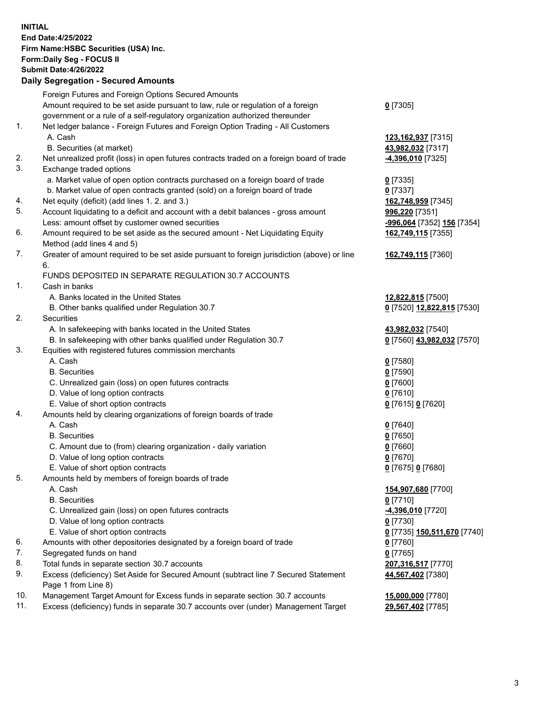**INITIAL End Date:4/25/2022 Firm Name:HSBC Securities (USA) Inc. Form:Daily Seg - FOCUS II Submit Date:4/26/2022 Daily Segregation - Secured Amounts** Foreign Futures and Foreign Options Secured Amounts Amount required to be set aside pursuant to law, rule or regulation of a foreign government or a rule of a self-regulatory organization authorized thereunder **0** [7305] 1. Net ledger balance - Foreign Futures and Foreign Option Trading - All Customers A. Cash **123,162,937** [7315] B. Securities (at market) **43,982,032** [7317] 2. Net unrealized profit (loss) in open futures contracts traded on a foreign board of trade **-4,396,010** [7325] 3. Exchange traded options a. Market value of open option contracts purchased on a foreign board of trade **0** [7335] b. Market value of open contracts granted (sold) on a foreign board of trade **0** [7337] 4. Net equity (deficit) (add lines 1. 2. and 3.) **162,748,959** [7345] 5. Account liquidating to a deficit and account with a debit balances - gross amount **996,220** [7351] Less: amount offset by customer owned securities **-996,064** [7352] **156** [7354] 6. Amount required to be set aside as the secured amount - Net Liquidating Equity Method (add lines 4 and 5) **162,749,115** [7355] 7. Greater of amount required to be set aside pursuant to foreign jurisdiction (above) or line 6. **162,749,115** [7360] FUNDS DEPOSITED IN SEPARATE REGULATION 30.7 ACCOUNTS 1. Cash in banks A. Banks located in the United States **12,822,815** [7500] B. Other banks qualified under Regulation 30.7 **0** [7520] **12,822,815** [7530] 2. Securities A. In safekeeping with banks located in the United States **43,982,032** [7540] B. In safekeeping with other banks qualified under Regulation 30.7 **0** [7560] **43,982,032** [7570] 3. Equities with registered futures commission merchants A. Cash **0** [7580] B. Securities **0** [7590] C. Unrealized gain (loss) on open futures contracts **0** [7600] D. Value of long option contracts **0** [7610] E. Value of short option contracts **0** [7615] **0** [7620] 4. Amounts held by clearing organizations of foreign boards of trade A. Cash **0** [7640] B. Securities **0** [7650] C. Amount due to (from) clearing organization - daily variation **0** [7660] D. Value of long option contracts **0** [7670] E. Value of short option contracts **0** [7675] **0** [7680] 5. Amounts held by members of foreign boards of trade A. Cash **154,907,680** [7700] B. Securities **0** [7710] C. Unrealized gain (loss) on open futures contracts **-4,396,010** [7720] D. Value of long option contracts **0** [7730] E. Value of short option contracts **0** [7735] **150,511,670** [7740] 6. Amounts with other depositories designated by a foreign board of trade **0** [7760] 7. Segregated funds on hand **0** [7765] 8. Total funds in separate section 30.7 accounts **207,316,517** [7770] 9. Excess (deficiency) Set Aside for Secured Amount (subtract line 7 Secured Statement Page 1 from Line 8) **44,567,402** [7380] 10. Management Target Amount for Excess funds in separate section 30.7 accounts **15,000,000** [7780]

11. Excess (deficiency) funds in separate 30.7 accounts over (under) Management Target **29,567,402** [7785]

3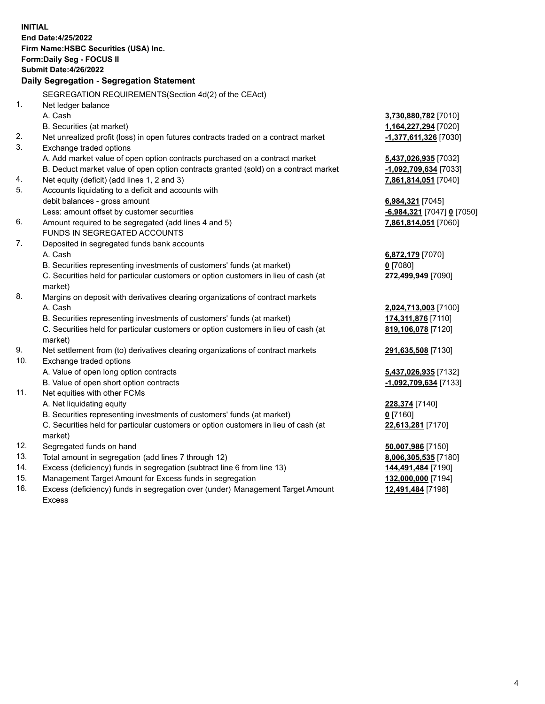**INITIAL End Date:4/25/2022 Firm Name:HSBC Securities (USA) Inc. Form:Daily Seg - FOCUS II Submit Date:4/26/2022 Daily Segregation - Segregation Statement** SEGREGATION REQUIREMENTS(Section 4d(2) of the CEAct) 1. Net ledger balance A. Cash **3,730,880,782** [7010] B. Securities (at market) **1,164,227,294** [7020] 2. Net unrealized profit (loss) in open futures contracts traded on a contract market **-1,377,611,326** [7030] 3. Exchange traded options A. Add market value of open option contracts purchased on a contract market **5,437,026,935** [7032] B. Deduct market value of open option contracts granted (sold) on a contract market **-1,092,709,634** [7033] 4. Net equity (deficit) (add lines 1, 2 and 3) **7,861,814,051** [7040] 5. Accounts liquidating to a deficit and accounts with debit balances - gross amount **6,984,321** [7045] Less: amount offset by customer securities **-6,984,321** [7047] **0** [7050] 6. Amount required to be segregated (add lines 4 and 5) **7,861,814,051** [7060] FUNDS IN SEGREGATED ACCOUNTS 7. Deposited in segregated funds bank accounts A. Cash **6,872,179** [7070] B. Securities representing investments of customers' funds (at market) **0** [7080] C. Securities held for particular customers or option customers in lieu of cash (at market) **272,499,949** [7090] 8. Margins on deposit with derivatives clearing organizations of contract markets A. Cash **2,024,713,003** [7100] B. Securities representing investments of customers' funds (at market) **174,311,876** [7110] C. Securities held for particular customers or option customers in lieu of cash (at market) **819,106,078** [7120] 9. Net settlement from (to) derivatives clearing organizations of contract markets **291,635,508** [7130] 10. Exchange traded options A. Value of open long option contracts **5,437,026,935** [7132] B. Value of open short option contracts **-1,092,709,634** [7133] 11. Net equities with other FCMs A. Net liquidating equity **228,374** [7140] B. Securities representing investments of customers' funds (at market) **0** [7160] C. Securities held for particular customers or option customers in lieu of cash (at market) **22,613,281** [7170] 12. Segregated funds on hand **50,007,986** [7150] 13. Total amount in segregation (add lines 7 through 12) **8,006,305,535** [7180] 14. Excess (deficiency) funds in segregation (subtract line 6 from line 13) **144,491,484** [7190] 15. Management Target Amount for Excess funds in segregation **132,000,000** [7194]

16. Excess (deficiency) funds in segregation over (under) Management Target Amount Excess

**12,491,484** [7198]